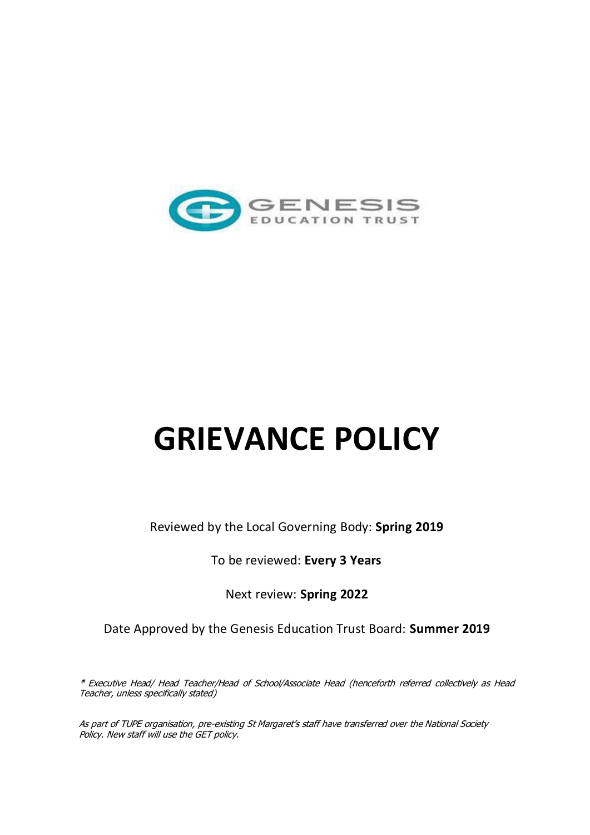

# **GRIEVANCE POLICY**

Reviewed by the Local Governing Body: **Spring 2019** 

To be reviewed: **Every 3 Years** 

Next review: **Spring 2022**

Date Approved by the Genesis Education Trust Board: **Summer 2019**

\* Executive Head/ Head Teacher/Head of School/Associate Head (henceforth referred collectively as Head Teacher, unless specifically stated)

As part of TUPE organisation, pre-existing St Margaret's staff have transferred over the National Society Policy. New staff will use the GET policy.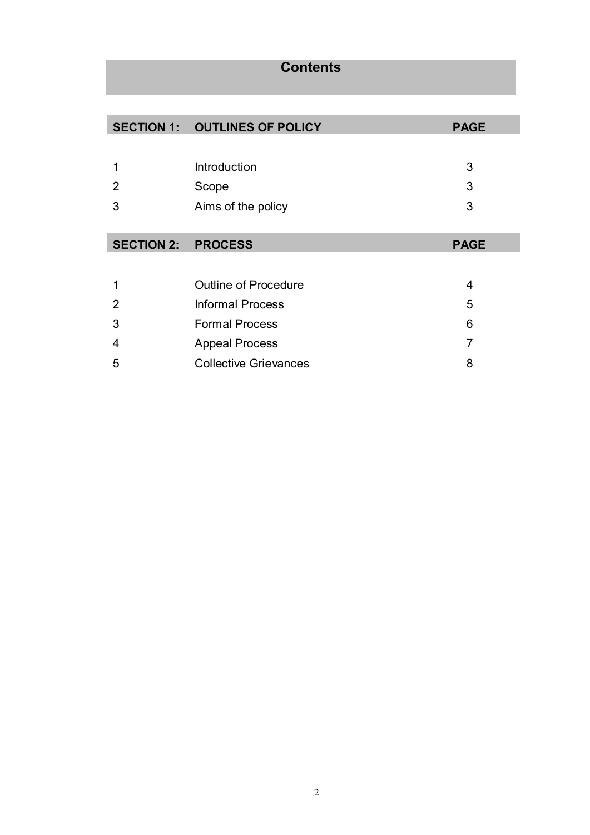# **Contents**

|                           | <b>SECTION 1: OUTLINES OF POLICY</b> | <b>PAGE</b> |
|---------------------------|--------------------------------------|-------------|
|                           |                                      |             |
| 1                         | Introduction                         | 3           |
| 2                         | Scope                                | 3           |
| 3                         | Aims of the policy                   | 3           |
|                           |                                      |             |
| <b>SECTION 2: PROCESS</b> |                                      | <b>PAGE</b> |
|                           |                                      |             |
| 1                         | <b>Outline of Procedure</b>          | 4           |
| 2                         | <b>Informal Process</b>              | 5           |
| 3                         | <b>Formal Process</b>                | 6           |
| 4                         | <b>Appeal Process</b>                | 7           |
| 5                         | <b>Collective Grievances</b>         | 8           |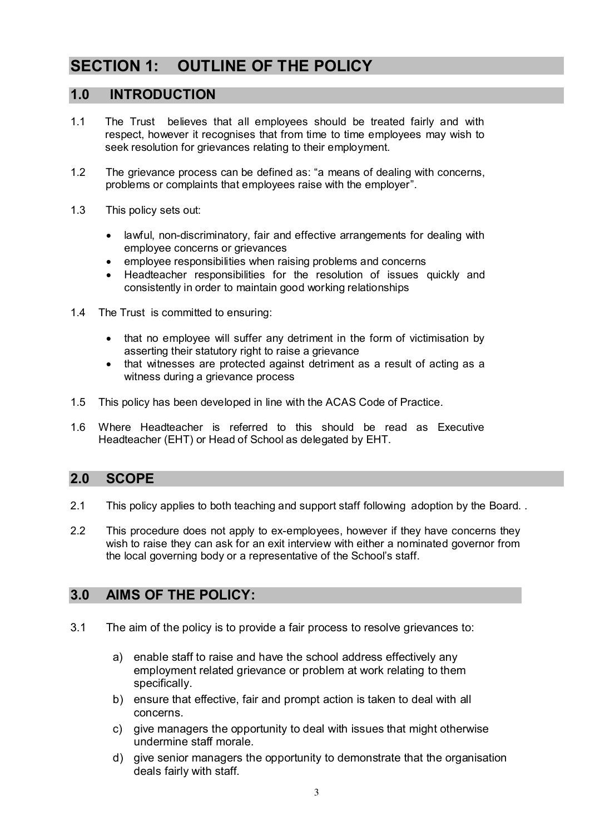# **SECTION 1: OUTLINE OF THE POLICY**

## **1.0 INTRODUCTION**

- 1.1 The Trust believes that all employees should be treated fairly and with respect, however it recognises that from time to time employees may wish to seek resolution for grievances relating to their employment.
- 1.2 The grievance process can be defined as: "a means of dealing with concerns, problems or complaints that employees raise with the employer".
- 1.3 This policy sets out:
	- lawful, non-discriminatory, fair and effective arrangements for dealing with employee concerns or grievances
	- employee responsibilities when raising problems and concerns
	- Headteacher responsibilities for the resolution of issues quickly and consistently in order to maintain good working relationships
- 1.4 The Trust is committed to ensuring:
	- that no employee will suffer any detriment in the form of victimisation by asserting their statutory right to raise a grievance
	- that witnesses are protected against detriment as a result of acting as a witness during a grievance process
- 1.5 This policy has been developed in line with the ACAS Code of Practice.
- 1.6 Where Headteacher is referred to this should be read as Executive Headteacher (EHT) or Head of School as delegated by EHT.

# **2.0 SCOPE**

- 2.1 This policy applies to both teaching and support staff following adoption by the Board.
- 2.2 This procedure does not apply to ex-employees, however if they have concerns they wish to raise they can ask for an exit interview with either a nominated governor from the local governing body or a representative of the School's staff.

# **3.0 AIMS OF THE POLICY:**

- 3.1 The aim of the policy is to provide a fair process to resolve grievances to:
	- a) enable staff to raise and have the school address effectively any employment related grievance or problem at work relating to them specifically.
	- b) ensure that effective, fair and prompt action is taken to deal with all concerns.
	- c) give managers the opportunity to deal with issues that might otherwise undermine staff morale.
	- d) give senior managers the opportunity to demonstrate that the organisation deals fairly with staff.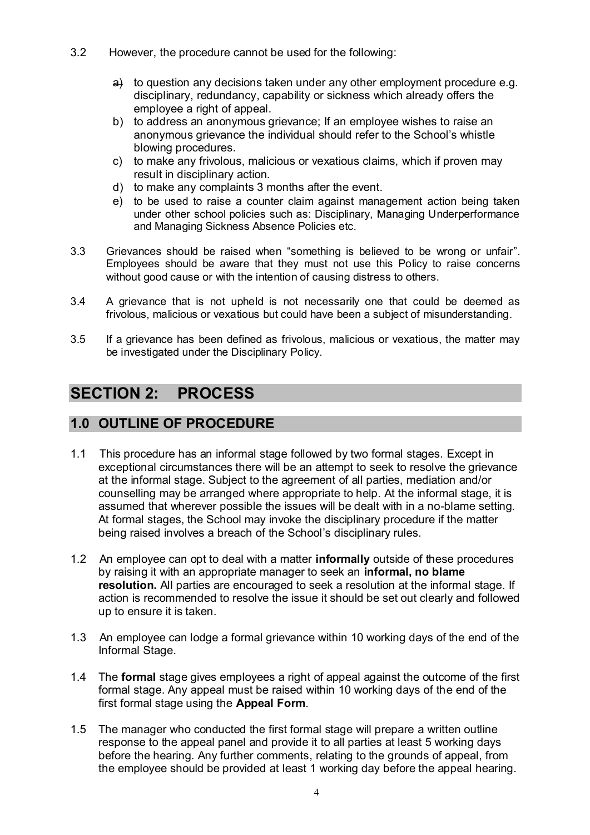- 3.2 However, the procedure cannot be used for the following:
	- a) to question any decisions taken under any other employment procedure e.g. disciplinary, redundancy, capability or sickness which already offers the employee a right of appeal.
	- b) to address an anonymous grievance; If an employee wishes to raise an anonymous grievance the individual should refer to the School's whistle blowing procedures.
	- c) to make any frivolous, malicious or vexatious claims, which if proven may result in disciplinary action.
	- d) to make any complaints 3 months after the event.
	- e) to be used to raise a counter claim against management action being taken under other school policies such as: Disciplinary, Managing Underperformance and Managing Sickness Absence Policies etc.
- 3.3 Grievances should be raised when "something is believed to be wrong or unfair". Employees should be aware that they must not use this Policy to raise concerns without good cause or with the intention of causing distress to others.
- 3.4 A grievance that is not upheld is not necessarily one that could be deemed as frivolous, malicious or vexatious but could have been a subject of misunderstanding.
- 3.5 If a grievance has been defined as frivolous, malicious or vexatious, the matter may be investigated under the Disciplinary Policy.

# **SECTION 2: PROCESS**

# **1.0 OUTLINE OF PROCEDURE**

- 1.1 This procedure has an informal stage followed by two formal stages. Except in exceptional circumstances there will be an attempt to seek to resolve the grievance at the informal stage. Subject to the agreement of all parties, mediation and/or counselling may be arranged where appropriate to help. At the informal stage, it is assumed that wherever possible the issues will be dealt with in a no-blame setting. At formal stages, the School may invoke the disciplinary procedure if the matter being raised involves a breach of the School's disciplinary rules.
- 1.2 An employee can opt to deal with a matter **informally** outside of these procedures by raising it with an appropriate manager to seek an **informal, no blame resolution.** All parties are encouraged to seek a resolution at the informal stage. If action is recommended to resolve the issue it should be set out clearly and followed up to ensure it is taken.
- 1.3 An employee can lodge a formal grievance within 10 working days of the end of the Informal Stage.
- 1.4 The **formal** stage gives employees a right of appeal against the outcome of the first formal stage. Any appeal must be raised within 10 working days of the end of the first formal stage using the **Appeal Form**.
- 1.5 The manager who conducted the first formal stage will prepare a written outline response to the appeal panel and provide it to all parties at least 5 working days before the hearing. Any further comments, relating to the grounds of appeal, from the employee should be provided at least 1 working day before the appeal hearing.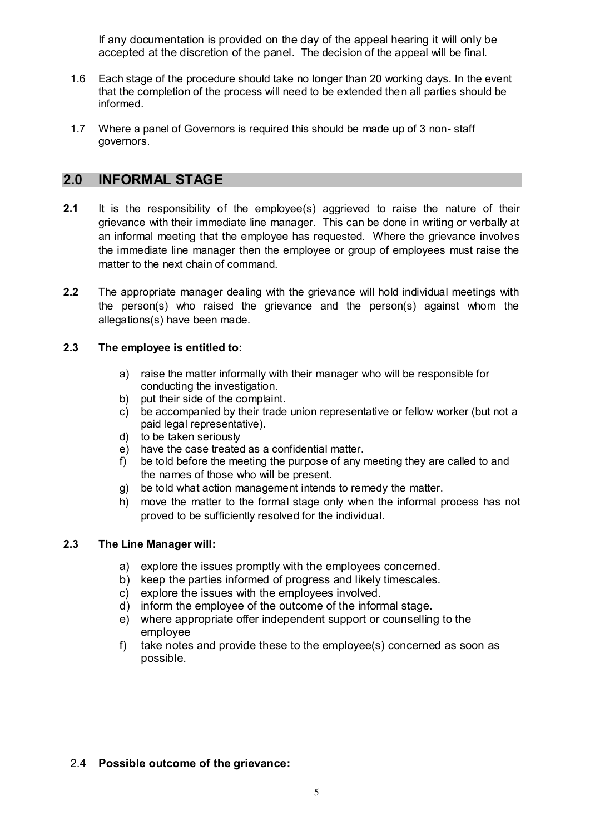If any documentation is provided on the day of the appeal hearing it will only be accepted at the discretion of the panel.The decision of the appeal will be final.

- 1.6 Each stage of the procedure should take no longer than 20 working days. In the event that the completion of the process will need to be extended then all parties should be informed.
- 1.7 Where a panel of Governors is required this should be made up of 3 non- staff governors.

## **2.0 INFORMAL STAGE**

- **2.1** It is the responsibility of the employee(s) aggrieved to raise the nature of their grievance with their immediate line manager. This can be done in writing or verbally at an informal meeting that the employee has requested. Where the grievance involves the immediate line manager then the employee or group of employees must raise the matter to the next chain of command.
- **2.2** The appropriate manager dealing with the grievance will hold individual meetings with the person(s) who raised the grievance and the person(s) against whom the allegations(s) have been made.

#### **2.3 The employee is entitled to:**

- a) raise the matter informally with their manager who will be responsible for conducting the investigation.
- b) put their side of the complaint.
- c) be accompanied by their trade union representative or fellow worker (but not a paid legal representative).
- d) to be taken seriously
- e) have the case treated as a confidential matter.
- f) be told before the meeting the purpose of any meeting they are called to and the names of those who will be present.
- g) be told what action management intends to remedy the matter.
- h) move the matter to the formal stage only when the informal process has not proved to be sufficiently resolved for the individual.

#### **2.3 The Line Manager will:**

- a) explore the issues promptly with the employees concerned.
- b) keep the parties informed of progress and likely timescales.
- c) explore the issues with the employees involved.<br>d) inform the employee of the outcome of the inform
- inform the employee of the outcome of the informal stage.
- e) where appropriate offer independent support or counselling to the employee
- f) take notes and provide these to the employee(s) concerned as soon as possible.

#### 2.4 **Possible outcome of the grievance:**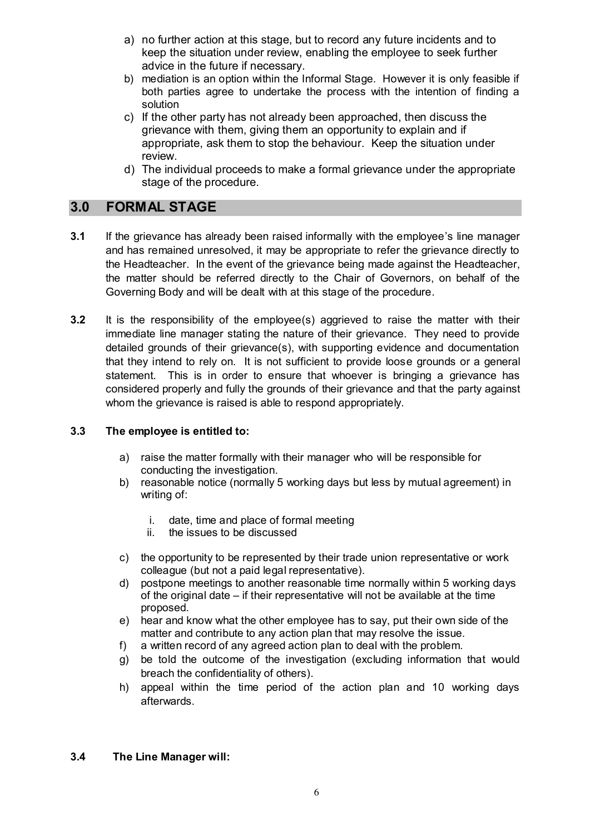- a) no further action at this stage, but to record any future incidents and to keep the situation under review, enabling the employee to seek further advice in the future if necessary.
- b) mediation is an option within the Informal Stage. However it is only feasible if both parties agree to undertake the process with the intention of finding a solution
- c) If the other party has not already been approached, then discuss the grievance with them, giving them an opportunity to explain and if appropriate, ask them to stop the behaviour. Keep the situation under review.
- d) The individual proceeds to make a formal grievance under the appropriate stage of the procedure.

## **3.0 FORMAL STAGE**

- **3.1** If the grievance has already been raised informally with the employee's line manager and has remained unresolved, it may be appropriate to refer the grievance directly to the Headteacher. In the event of the grievance being made against the Headteacher, the matter should be referred directly to the Chair of Governors, on behalf of the Governing Body and will be dealt with at this stage of the procedure.
- **3.2** It is the responsibility of the employee(s) aggrieved to raise the matter with their immediate line manager stating the nature of their grievance. They need to provide detailed grounds of their grievance(s), with supporting evidence and documentation that they intend to rely on. It is not sufficient to provide loose grounds or a general statement. This is in order to ensure that whoever is bringing a grievance has considered properly and fully the grounds of their grievance and that the party against whom the grievance is raised is able to respond appropriately.

#### **3.3 The employee is entitled to:**

- a) raise the matter formally with their manager who will be responsible for conducting the investigation.
- b) reasonable notice (normally 5 working days but less by mutual agreement) in writing of:
	- i. date, time and place of formal meeting
	- ii. the issues to be discussed
- c) the opportunity to be represented by their trade union representative or work colleague (but not a paid legal representative).
- d) postpone meetings to another reasonable time normally within 5 working days of the original date – if their representative will not be available at the time proposed.
- e) hear and know what the other employee has to say, put their own side of the matter and contribute to any action plan that may resolve the issue.
- f) a written record of any agreed action plan to deal with the problem.
- g) be told the outcome of the investigation (excluding information that would breach the confidentiality of others).
- h) appeal within the time period of the action plan and 10 working days afterwards.

#### **3.4 The Line Manager will:**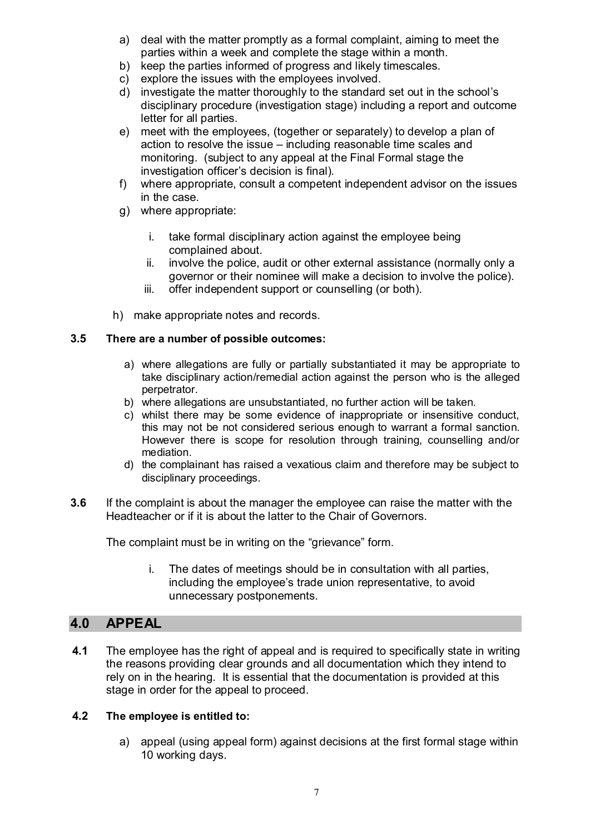- a) deal with the matter promptly as a formal complaint, aiming to meet the parties within a week and complete the stage within a month.
- b) keep the parties informed of progress and likely timescales.
- c) explore the issues with the employees involved.
- d) investigate the matter thoroughly to the standard set out in the school's disciplinary procedure (investigation stage) including a report and outcome letter for all parties.
- e) meet with the employees, (together or separately) to develop a plan of action to resolve the issue – including reasonable time scales and monitoring. (subject to any appeal at the Final Formal stage the investigation officer's decision is final).
- f) where appropriate, consult a competent independent advisor on the issues in the case.
- g) where appropriate:
	- i. take formal disciplinary action against the employee being complained about.
	- ii. involve the police, audit or other external assistance (normally only a governor or their nominee will make a decision to involve the police).
	- iii. offer independent support or counselling (or both).
- h) make appropriate notes and records.

#### **3.5 There are a number of possible outcomes:**

- a) where allegations are fully or partially substantiated it may be appropriate to take disciplinary action/remedial action against the person who is the alleged perpetrator.
- b) where allegations are unsubstantiated, no further action will be taken.
- c) whilst there may be some evidence of inappropriate or insensitive conduct, this may not be not considered serious enough to warrant a formal sanction. However there is scope for resolution through training, counselling and/or mediation.
- d) the complainant has raised a vexatious claim and therefore may be subject to disciplinary proceedings.
- **3.6** If the complaint is about the manager the employee can raise the matter with the Headteacher or if it is about the latter to the Chair of Governors.

The complaint must be in writing on the "grievance" form.

i. The dates of meetings should be in consultation with all parties, including the employee's trade union representative, to avoid unnecessary postponements.

## **4.0 APPEAL**

**4.1** The employee has the right of appeal and is required to specifically state in writing the reasons providing clear grounds and all documentation which they intend to rely on in the hearing. It is essential that the documentation is provided at this stage in order for the appeal to proceed.

#### **4.2 The employee is entitled to:**

a) appeal (using appeal form) against decisions at the first formal stage within 10 working days.